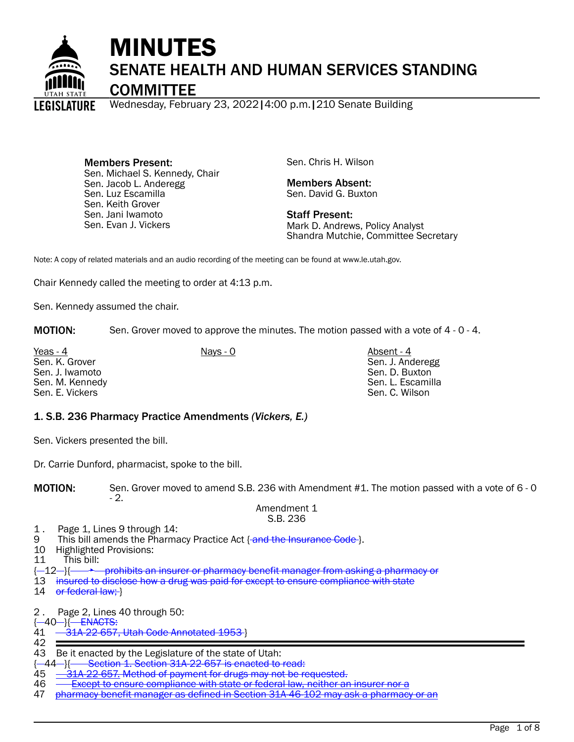

# MINUTES SENATE HEALTH AND HUMAN SERVICES STANDING

**COMMITTEE** 

Wednesday, February 23, 2022|4:00 p.m.|210 Senate Building

Members Present: Sen. Michael S. Kennedy, Chair Sen. Jacob L. Anderegg Sen. Luz Escamilla Sen. Keith Grover Sen. Jani Iwamoto Sen. Evan J. Vickers

Sen. Chris H. Wilson

Members Absent: Sen. David G. Buxton

Staff Present: Mark D. Andrews, Policy Analyst Shandra Mutchie, Committee Secretary

Note: A copy of related materials and an audio recording of the meeting can be found at www.le.utah.gov.

Chair Kennedy called the meeting to order at 4:13 p.m.

Sen. Kennedy assumed the chair.

**MOTION:** Sen. Grover moved to approve the minutes. The motion passed with a vote of 4 - 0 - 4.

Yeas - 4 Absent - 4 Nays - 0 Absent - 4 Absent - 4 Sen. K. Grover Sen. J. Iwamoto Sen. M. Kennedy Sen. E. Vickers

Sen. J. Anderegg Sen. D. Buxton Sen. L. Escamilla Sen. C. Wilson

#### 1. S.B. 236 Pharmacy Practice Amendments *(Vickers, E.)*

Sen. Vickers presented the bill.

Dr. Carrie Dunford, pharmacist, spoke to the bill.

MOTION: Sen. Grover moved to amend S.B. 236 with Amendment #1. The motion passed with a vote of 6 - 0 - 2.

Amendment 1 S.B. 236

- 1. Page 1, Lines 9 through 14:<br>9 This bill amends the Pharma
- 9 This bill amends the Pharmacy Practice Act <del>[and the Insurance Code ]</del>.<br>10 Highlighted Provisions:
- 10 Highlighted Provisions:<br>11 This bill:
- This bill:
- {-12-}{  $\rightarrow$  prohibits an insurer or pharmacy benefit manager from asking a pharmacy or

13 insured to disclose how a drug was paid for except to ensure compliance with state

- 14 or federal law; }
- 2 . Page 2, Lines 40 through 50:

{ 40 }{ ENACTS:

- -22-657, Utah Code Annotated 1953 }
- 42

43 Be it enacted by the Legislature of the state of Utah:<br>{-44-}{- Section 1. Section 31A-22-657 is enacted to

- {-44-}{ Section 1. Section 31A-22-657 is enacted to read:<br>45 31A-22-657. Method of payment for drugs may not be re
- 22-657. Method of payment for drugs may not be requested.
- 46 Except to ensure compliance with state or federal law, neither an insurer nor a
- pharmacy benefit manager as defined in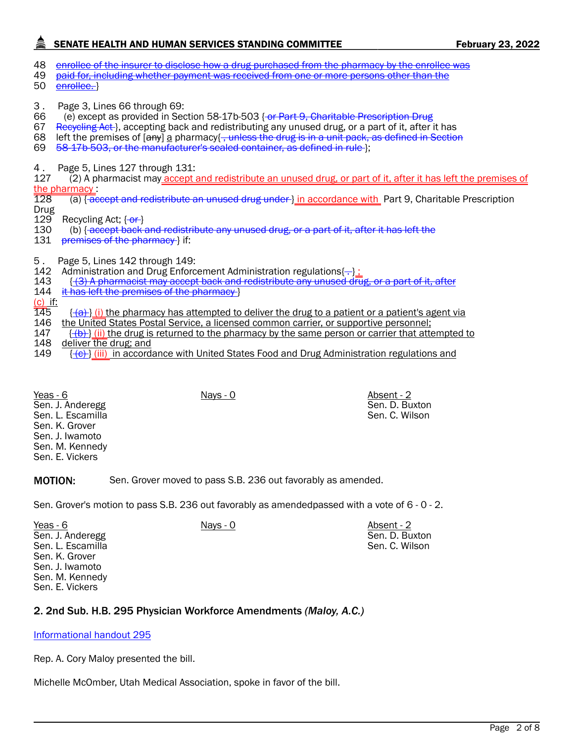## SENATE HEALTH AND HUMAN SERVICES STANDING COMMITTEE FEBRUARY 23, 2022

- 48 enrollee of the insurer to disclose how a drug purchased from the pharmacy by the enrollee was
- 49 paid for, including whether payment was received from one or more persons other than the
- 50 enrollee.
- 3 . Page 3, Lines 66 through 69:
- 66 (e) except as provided in Section 58-17b-503 <del>{ or Part 9, Charitable Prescription Drug</del><br>67 Reeveling Act-), accepting back and redistributing any unused drug, or a part of it, after
- Recycling Act }, accepting back and redistributing any unused drug, or a part of it, after it has
- 68 left the premises of  $[any]$  a pharmacy $\{\overline{\}$ , unless the drug is in a unit pack, as defined in Section
- 69 58-17b-503, or the manufacturer's sealed container, as defined in rule };
- 4 . Page 5, Lines 127 through 131:

127 (2) A pharmacist may accept and redistribute an unused drug, or part of it, after it has left the premises of the pharmacy<br>128 (a) <del>[ac</del>

- (a) { accept and redistribute an unused drug under } in accordance with Part 9, Charitable Prescription Drug<br>129
- 129 Recycling Act; {<del>-or }</del><br>130 (b) {<del>-accept back {</del>
- (b) { accept back and redistribute any unused drug, or a part of it, after it has left the
- 131 premises of the pharmacy } if:
- 5 . Page 5, Lines 142 through 149:
- 142 Administration and Drug Enforcement Administration regulations $\left(-\right)$ :<br>143 { (3) A pharmacist may accept back and redistribute any unused dru
- 143 { (3) A pharmacist may accept back and redistribute any unused drug, or a part of it, after
- 144 it has left the premises of the pharmacy }
- <u>(c)</u> if:<br>145
- $\{\{\hat{a}\}\}\$ (i) the pharmacy has attempted to deliver the drug to a patient or a patient's agent via
- 146 the United States Postal Service, a licensed common carrier, or supportive personnel;<br>147 f<del>(b)</del>} (ii) the drug is returned to the pharmacy by the same person or carrier that atte
- $\{\{\theta\}\}\$ (ii) the drug is returned to the pharmacy by the same person or carrier that attempted to

Sen. D. Buxton Sen. C. Wilson

Sen. D. Buxton Sen. C. Wilson

148 deliver the drug; and<br>149 {<del>(c) </del>} (iii) in accord;  $\{\leftrightarrow\}$  (iii) in accordance with United States Food and Drug Administration regulations and

| Yeas - 6          | Nays - 0 | Absent - 2 |
|-------------------|----------|------------|
| Sen. J. Anderegg  |          | Sen. D. Bu |
| Sen. L. Escamilla |          | Sen. C. Wi |
| Sen. K. Grover    |          |            |
| Sen. J. Iwamoto   |          |            |
| Sen. M. Kennedy   |          |            |
| Sen. E. Vickers   |          |            |
|                   |          |            |

**MOTION:** Sen. Grover moved to pass S.B. 236 out favorably as amended.

Sen. Grover's motion to pass S.B. 236 out favorably as amendedpassed with a vote of 6 - 0 - 2.

Nays - 0 Absent - 2

| Yeas - 6          |
|-------------------|
| Sen. J. Anderegg  |
| Sen. L. Escamilla |
| Sen. K. Grover    |
| Sen. J. Iwamoto   |
| Sen. M. Kennedy   |
| Sen. E. Vickers   |

#### 2. 2nd Sub. H.B. 295 Physician Workforce Amendments *(Maloy, A.C.)*

[Informational handout 295](https://le.utah.gov/interim/2022/pdf/00001948.pdf)

Rep. A. Cory Maloy presented the bill.

Michelle McOmber, Utah Medical Association, spoke in favor of the bill.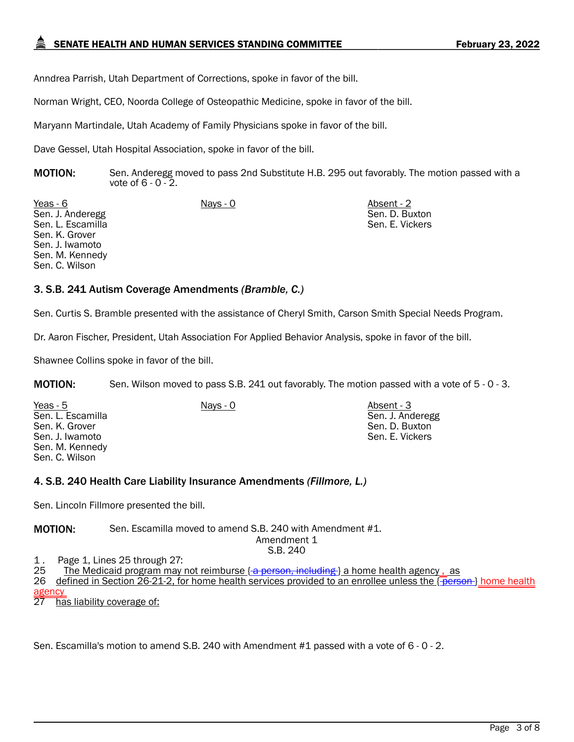Anndrea Parrish, Utah Department of Corrections, spoke in favor of the bill.

Norman Wright, CEO, Noorda College of Osteopathic Medicine, spoke in favor of the bill.

Maryann Martindale, Utah Academy of Family Physicians spoke in favor of the bill.

Dave Gessel, Utah Hospital Association, spoke in favor of the bill.

**MOTION:** Sen. Anderegg moved to pass 2nd Substitute H.B. 295 out favorably. The motion passed with a vote of 6 - 0 - 2.

Yeas - 6 Nays - 0 Absent - 2 Sen. J. Anderegg Sen. L. Escamilla Sen. K. Grover Sen. J. Iwamoto Sen. M. Kennedy Sen. C. Wilson

Sen. D. Buxton Sen. E. Vickers

Sen. J. Anderegg Sen. D. Buxton Sen. E. Vickers

#### 3. S.B. 241 Autism Coverage Amendments *(Bramble, C.)*

Sen. Curtis S. Bramble presented with the assistance of Cheryl Smith, Carson Smith Special Needs Program.

Dr. Aaron Fischer, President, Utah Association For Applied Behavior Analysis, spoke in favor of the bill.

Shawnee Collins spoke in favor of the bill.

**MOTION:** Sen. Wilson moved to pass S.B. 241 out favorably. The motion passed with a vote of 5 - 0 - 3.

Yeas - 5 Nays - 0 Absent - 3 Sen. L. Escamilla Sen. K. Grover Sen. J. Iwamoto Sen. M. Kennedy Sen. C. Wilson

#### 4. S.B. 240 Health Care Liability Insurance Amendments *(Fillmore, L.)*

Sen. Lincoln Fillmore presented the bill.

MOTION: Sen. Escamilla moved to amend S.B. 240 with Amendment #1.

Amendment 1 S.B. 240

1. Page 1, Lines 25 through 27:<br>25 The Medicaid program may

The Medicaid program may not reimburse  $\{\alpha\}$  person, including } a home health agency, as

26 defined in Section 26-21-2, for home health services provided to an enrollee unless the  $\{$ Berson } home health agency

27 has liability coverage of:

Sen. Escamilla's motion to amend S.B. 240 with Amendment #1 passed with a vote of 6 - 0 - 2.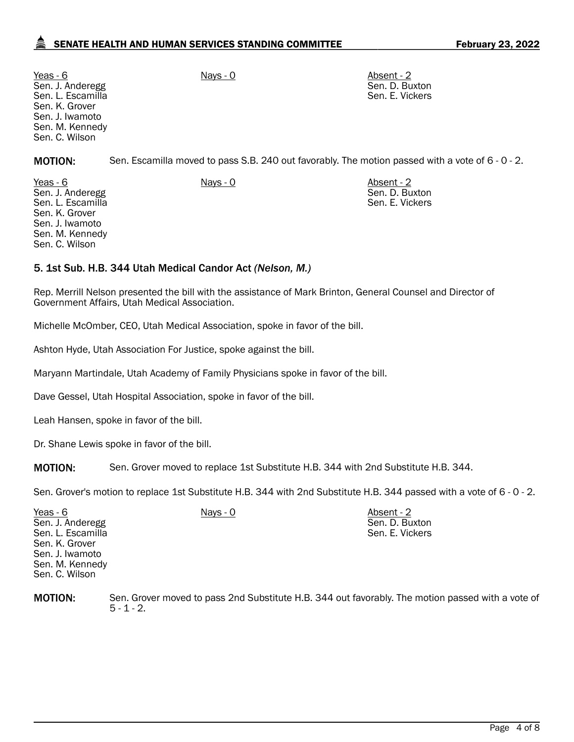### SENATE HEALTH AND HUMAN SERVICES STANDING COMMITTEE FEBRUARY 23, 2022

Yeas - 6 Nays - 0 Absent - 2 Sen. J. Anderegg Sen. L. Escamilla Sen. K. Grover Sen. J. Iwamoto Sen. M. Kennedy Sen. C. Wilson

Sen. D. Buxton Sen. E. Vickers

Sen. D. Buxton Sen. E. Vickers

MOTION: Sen. Escamilla moved to pass S.B. 240 out favorably. The motion passed with a vote of 6 - 0 - 2.

Yeas - 6 Nays - 0 Absent - 2 Sen. J. Anderegg Sen. L. Escamilla Sen. K. Grover Sen. J. Iwamoto Sen. M. Kennedy Sen. C. Wilson

#### 5. 1st Sub. H.B. 344 Utah Medical Candor Act *(Nelson, M.)*

Rep. Merrill Nelson presented the bill with the assistance of Mark Brinton, General Counsel and Director of Government Affairs, Utah Medical Association.

Michelle McOmber, CEO, Utah Medical Association, spoke in favor of the bill.

Ashton Hyde, Utah Association For Justice, spoke against the bill.

Maryann Martindale, Utah Academy of Family Physicians spoke in favor of the bill.

Dave Gessel, Utah Hospital Association, spoke in favor of the bill.

Leah Hansen, spoke in favor of the bill.

Dr. Shane Lewis spoke in favor of the bill.

MOTION: Sen. Grover moved to replace 1st Substitute H.B. 344 with 2nd Substitute H.B. 344.

Sen. Grover's motion to replace 1st Substitute H.B. 344 with 2nd Substitute H.B. 344 passed with a vote of 6 - 0 - 2.

| Yeas - 6<br>Nays - 0<br>Sen. J. Anderegg<br>Sen. L. Escamilla<br>Sen. K. Grover<br>Sen. J. Iwamoto<br>Sen. M. Kennedy<br>Sen. C. Wilson | Sen. D. Buxton<br>Sen. E. Vickers |  |
|-----------------------------------------------------------------------------------------------------------------------------------------|-----------------------------------|--|
|-----------------------------------------------------------------------------------------------------------------------------------------|-----------------------------------|--|

**MOTION:** Sen. Grover moved to pass 2nd Substitute H.B. 344 out favorably. The motion passed with a vote of  $5 - 1 - 2$ .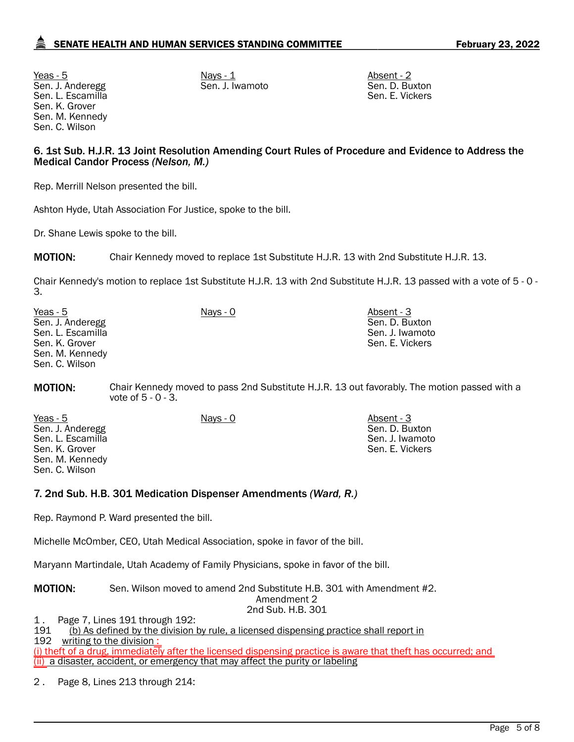<u>Yeas - 5</u> Nays - <u>1</u> Nays - <u>1</u> Nays - 1 Absent - 2 Sen. J. Anderegg Sen. L. Escamilla Sen. K. Grover Sen. M. Kennedy Sen. C. Wilson

Sen. J. Iwamoto Sen. D. Buxton

Sen. E. Vickers

Sen. D. Buxton Sen. J. Iwamoto Sen. E. Vickers

#### 6. 1st Sub. H.J.R. 13 Joint Resolution Amending Court Rules of Procedure and Evidence to Address the Medical Candor Process *(Nelson, M.)*

Rep. Merrill Nelson presented the bill.

Ashton Hyde, Utah Association For Justice, spoke to the bill.

Dr. Shane Lewis spoke to the bill.

MOTION: Chair Kennedy moved to replace 1st Substitute H.J.R. 13 with 2nd Substitute H.J.R. 13.

Chair Kennedy's motion to replace 1st Substitute H.J.R. 13 with 2nd Substitute H.J.R. 13 passed with a vote of 5 - 0 - 3.

| Yeas - 5          | Nays - 0 | Absent - 3      |
|-------------------|----------|-----------------|
| Sen. J. Anderegg  |          | Sen. D. Buxton  |
| Sen. L. Escamilla |          | Sen. J. Iwamoto |
| Sen. K. Grover    |          | Sen. E. Vickers |
| Sen. M. Kennedy   |          |                 |
| Sen. C. Wilson    |          |                 |

**MOTION:** Chair Kennedy moved to pass 2nd Substitute H.J.R. 13 out favorably. The motion passed with a vote of 5 - 0 - 3.

Yeas - 5 Nays - 0 Absent - 3 Sen. J. Anderegg Sen. L. Escamilla Sen. K. Grover Sen. M. Kennedy Sen. C. Wilson

#### 7. 2nd Sub. H.B. 301 Medication Dispenser Amendments *(Ward, R.)*

Rep. Raymond P. Ward presented the bill.

Michelle McOmber, CEO, Utah Medical Association, spoke in favor of the bill.

Maryann Martindale, Utah Academy of Family Physicians, spoke in favor of the bill.

MOTION: Sen. Wilson moved to amend 2nd Substitute H.B. 301 with Amendment #2.

Amendment 2 2nd Sub. H.B. 301

1 . Page 7, Lines 191 through 192: (b) As defined by the division by rule, a licensed dispensing practice shall report in

192 writing to the division :

(i) theft of a drug, immediately after the licensed dispensing practice is aware that theft has occurred; and (ii) a disaster, accident, or emergency that may affect the purity or labeling

2 . Page 8, Lines 213 through 214: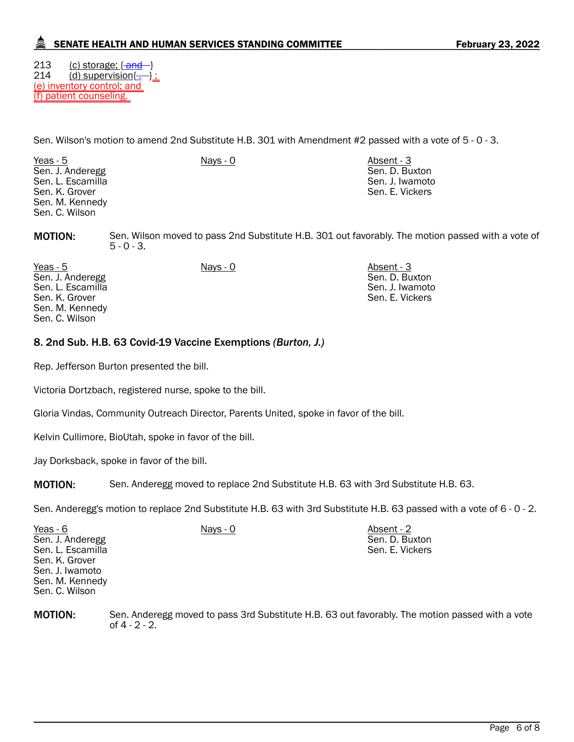### SENATE HEALTH AND HUMAN SERVICES STANDING COMMITTEE FEBRUARY 23, 2022

213 (c) storage; { and }<br>214 (d) supervision{ - }  $\frac{d}{dx}$  supervision $\left\{ -\right\}$ : (e) inventory control; and (f) patient counseling.

Sen. Wilson's motion to amend 2nd Substitute H.B. 301 with Amendment #2 passed with a vote of 5 - 0 - 3.

Yeas - 5 Nays - 0 Absent - 3 Sen. J. Anderegg Sen. L. Escamilla Sen. K. Grover Sen. M. Kennedy Sen. C. Wilson

Sen. D. Buxton Sen. J. Iwamoto Sen. E. Vickers

Sen. D. Buxton Sen. J. Iwamoto Sen. E. Vickers

MOTION: Sen. Wilson moved to pass 2nd Substitute H.B. 301 out favorably. The motion passed with a vote of  $5 - 0 - 3$ .

Yeas - 5 Nays - 0 Absent - 3 Sen. J. Anderegg Sen. L. Escamilla Sen. K. Grover Sen. M. Kennedy Sen. C. Wilson

### 8. 2nd Sub. H.B. 63 Covid-19 Vaccine Exemptions *(Burton, J.)*

Rep. Jefferson Burton presented the bill.

Victoria Dortzbach, registered nurse, spoke to the bill.

Gloria Vindas, Community Outreach Director, Parents United, spoke in favor of the bill.

Kelvin Cullimore, BioUtah, spoke in favor of the bill.

Jay Dorksback, spoke in favor of the bill.

**MOTION:** Sen. Anderegg moved to replace 2nd Substitute H.B. 63 with 3rd Substitute H.B. 63.

Sen. Anderegg's motion to replace 2nd Substitute H.B. 63 with 3rd Substitute H.B. 63 passed with a vote of 6 - 0 - 2.

| Yeas - 6          | Nays - 0 | Absent - 2      |
|-------------------|----------|-----------------|
| Sen. J. Anderegg  |          | Sen. D. Buxton  |
| Sen. L. Escamilla |          | Sen. E. Vickers |
| Sen. K. Grover    |          |                 |
| Sen. J. Iwamoto   |          |                 |
| Sen. M. Kennedy   |          |                 |
| Sen. C. Wilson    |          |                 |

MOTION: Sen. Anderegg moved to pass 3rd Substitute H.B. 63 out favorably. The motion passed with a vote of 4 - 2 - 2.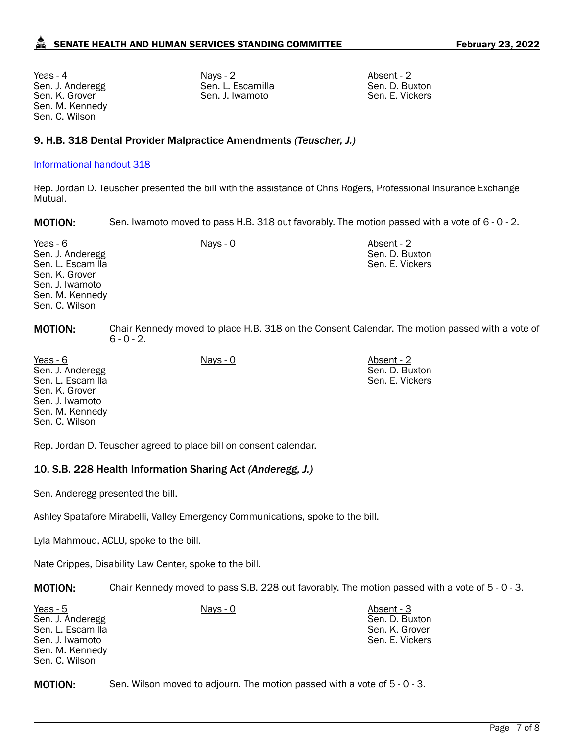<u>Yeas - 4</u> Absent - 2 Nays - 2 Absent - 2 Absent - 2 Absent - 2 Absent - 2 Absent - 2 Absent - 2 Absent - 2 Absent - 2 Absent - 2 Absent - 2 Absent - 2 Absent - 2 Absent - 2 Absent - 2 Absent - 2 Absent - 2 Absent - 2 Abse Sen. J. Anderegg Sen. K. Grover Sen. M. Kennedy Sen. C. Wilson

Sen. L. Escamilla Sen. J. Iwamoto

Sen. D. Buxton Sen. E. Vickers

#### 9. H.B. 318 Dental Provider Malpractice Amendments *(Teuscher, J.)*

#### [Informational handout 318](https://le.utah.gov/interim/2022/pdf/00001949.pdf)

Rep. Jordan D. Teuscher presented the bill with the assistance of Chris Rogers, Professional Insurance Exchange Mutual.

MOTION: Sen. Iwamoto moved to pass H.B. 318 out favorably. The motion passed with a vote of 6 - 0 - 2.

| Yeas - 6<br>Sen. J. Anderegg<br>Sen. L. Escamilla<br>Sen. K. Grover<br>Sen. J. Iwamoto<br>Sen. M. Kennedy<br>Sen. C. Wilson | $Nays - 0$    | Absent - 2<br>Sen. D. Buxton<br>Sen. E. Vickers                                                 |  |
|-----------------------------------------------------------------------------------------------------------------------------|---------------|-------------------------------------------------------------------------------------------------|--|
| <b>MOTION:</b>                                                                                                              | $6 - 0 - 2$ . | Chair Kennedy moved to place H.B. 318 on the Consent Calendar. The motion passed with a vote of |  |
| $\mathcal{L}$ $\mathcal{L}$                                                                                                 | $\mathbf{A}$  | $\mathbf{A}$                                                                                    |  |

Yeas - 6 Nays - 0 Absent - 2 Sen. J. Anderegg Sen. L. Escamilla Sen. K. Grover Sen. J. Iwamoto Sen. M. Kennedy Sen. C. Wilson Sen. D. Buxton Sen. E. Vickers

Rep. Jordan D. Teuscher agreed to place bill on consent calendar.

#### 10. S.B. 228 Health Information Sharing Act *(Anderegg, J.)*

Sen. Anderegg presented the bill.

Ashley Spatafore Mirabelli, Valley Emergency Communications, spoke to the bill.

Lyla Mahmoud, ACLU, spoke to the bill.

Nate Crippes, Disability Law Center, spoke to the bill.

MOTION: Chair Kennedy moved to pass S.B. 228 out favorably. The motion passed with a vote of 5 - 0 - 3.

| Yeas - 5          | Nays - 0 | Absent - 3      |
|-------------------|----------|-----------------|
| Sen. J. Anderegg  |          | Sen. D. Buxton  |
| Sen. L. Escamilla |          | Sen. K. Grover  |
| Sen. J. Iwamoto   |          | Sen. E. Vickers |
| Sen. M. Kennedy   |          |                 |
| Sen. C. Wilson    |          |                 |

**MOTION:** Sen. Wilson moved to adjourn. The motion passed with a vote of 5 - 0 - 3.